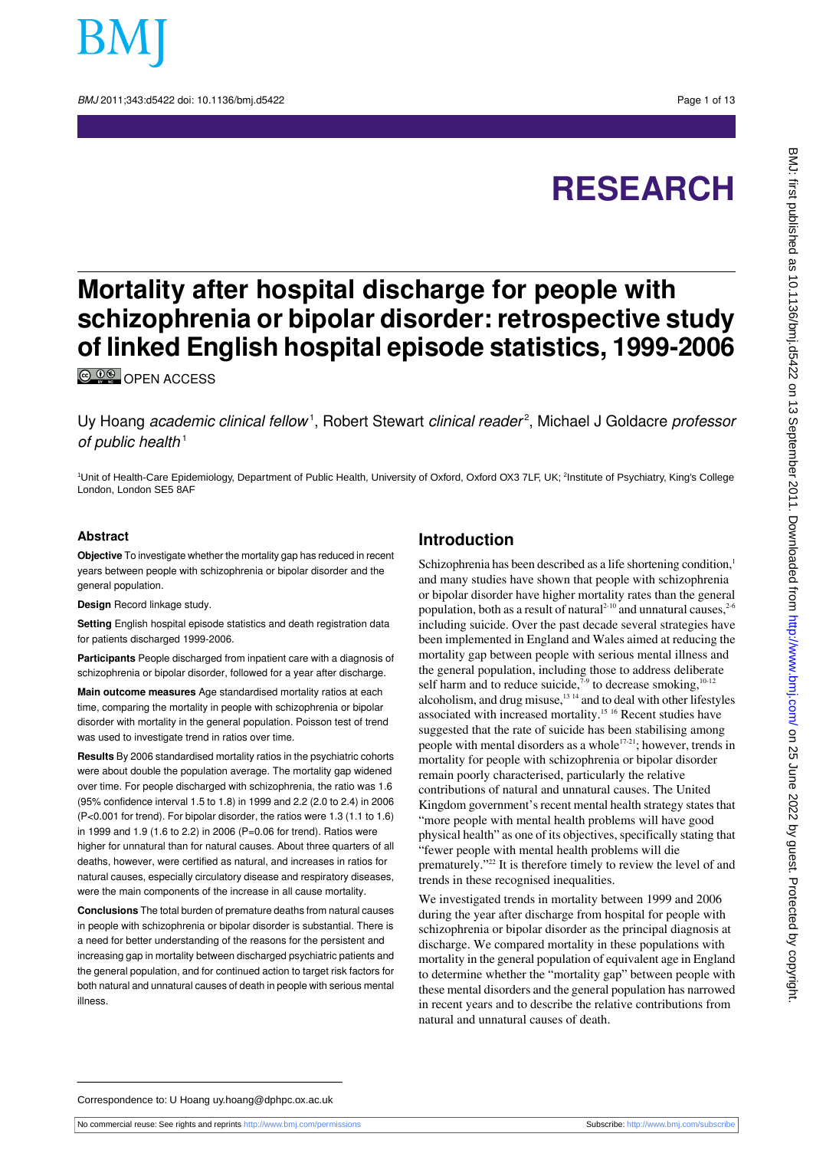# **RESEARCH**

# **Mortality after hospital discharge for people with schizophrenia or bipolar disorder: retrospective study of linked English hospital episode statistics, 1999-2006**

**© 00** OPEN ACCESS

Uy Hoang *academic clinical fellow* 1, Robert Stewart *clinical reader<sup>2</sup>, Michael J Goldacre professor* of public health $<sup>1</sup>$ </sup>

<sup>1</sup>Unit of Health-Care Epidemiology, Department of Public Health, University of Oxford, Oxford OX3 7LF, UK; <sup>2</sup>Institute of Psychiatry, King's College London, London SE5 8AF

#### **Abstract**

**Objective** To investigate whether the mortality gap has reduced in recent years between people with schizophrenia or bipolar disorder and the general population.

**Design** Record linkage study.

**Setting** English hospital episode statistics and death registration data for patients discharged 1999-2006.

**Participants** People discharged from inpatient care with a diagnosis of schizophrenia or bipolar disorder, followed for a year after discharge.

**Main outcome measures** Age standardised mortality ratios at each time, comparing the mortality in people with schizophrenia or bipolar disorder with mortality in the general population. Poisson test of trend was used to investigate trend in ratios over time.

**Results** By 2006 standardised mortality ratios in the psychiatric cohorts were about double the population average. The mortality gap widened over time. For people discharged with schizophrenia, the ratio was 1.6 (95% confidence interval 1.5 to 1.8) in 1999 and 2.2 (2.0 to 2.4) in 2006 (P<0.001 for trend). For bipolar disorder, the ratios were 1.3 (1.1 to 1.6) in 1999 and 1.9 (1.6 to 2.2) in 2006 (P=0.06 for trend). Ratios were higher for unnatural than for natural causes. About three quarters of all deaths, however, were certified as natural, and increases in ratios for natural causes, especially circulatory disease and respiratory diseases, were the main components of the increase in all cause mortality.

**Conclusions** The total burden of premature deaths from natural causes in people with schizophrenia or bipolar disorder is substantial. There is a need for better understanding of the reasons for the persistent and increasing gap in mortality between discharged psychiatric patients and the general population, and for continued action to target risk factors for both natural and unnatural causes of death in people with serious mental illness.

#### **Introduction**

Schizophrenia has been described as a life shortening condition.<sup>1</sup> and many studies have shown that people with schizophrenia or bipolar disorder have higher mortality rates than the general population, both as a result of natural<sup>2-10</sup> and unnatural causes.<sup>2-6</sup> including suicide. Over the past decade several strategies have been implemented in England and Wales aimed at reducing the mortality gap between people with serious mental illness and the general population, including those to address deliberate self harm and to reduce suicide,<sup>7-9</sup> to decrease smoking, $10-12$ alcoholism, and drug misuse,<sup>13 14</sup> and to deal with other lifestyles associated with increased mortality.<sup>15 16</sup> Recent studies have suggested that the rate of suicide has been stabilising among people with mental disorders as a whole<sup>17-21</sup>; however, trends in mortality for people with schizophrenia or bipolar disorder remain poorly characterised, particularly the relative contributions of natural and unnatural causes. The United Kingdom government's recent mental health strategy states that "more people with mental health problems will have good physical health" as one of its objectives, specifically stating that "fewer people with mental health problems will die prematurely."<sup>22</sup> It is therefore timely to review the level of and trends in these recognised inequalities.

We investigated trends in mortality between 1999 and 2006 during the year after discharge from hospital for people with schizophrenia or bipolar disorder as the principal diagnosis at discharge. We compared mortality in these populations with mortality in the general population of equivalent age in England to determine whether the "mortality gap" between people with these mental disorders and the general population has narrowed in recent years and to describe the relative contributions from natural and unnatural causes of death.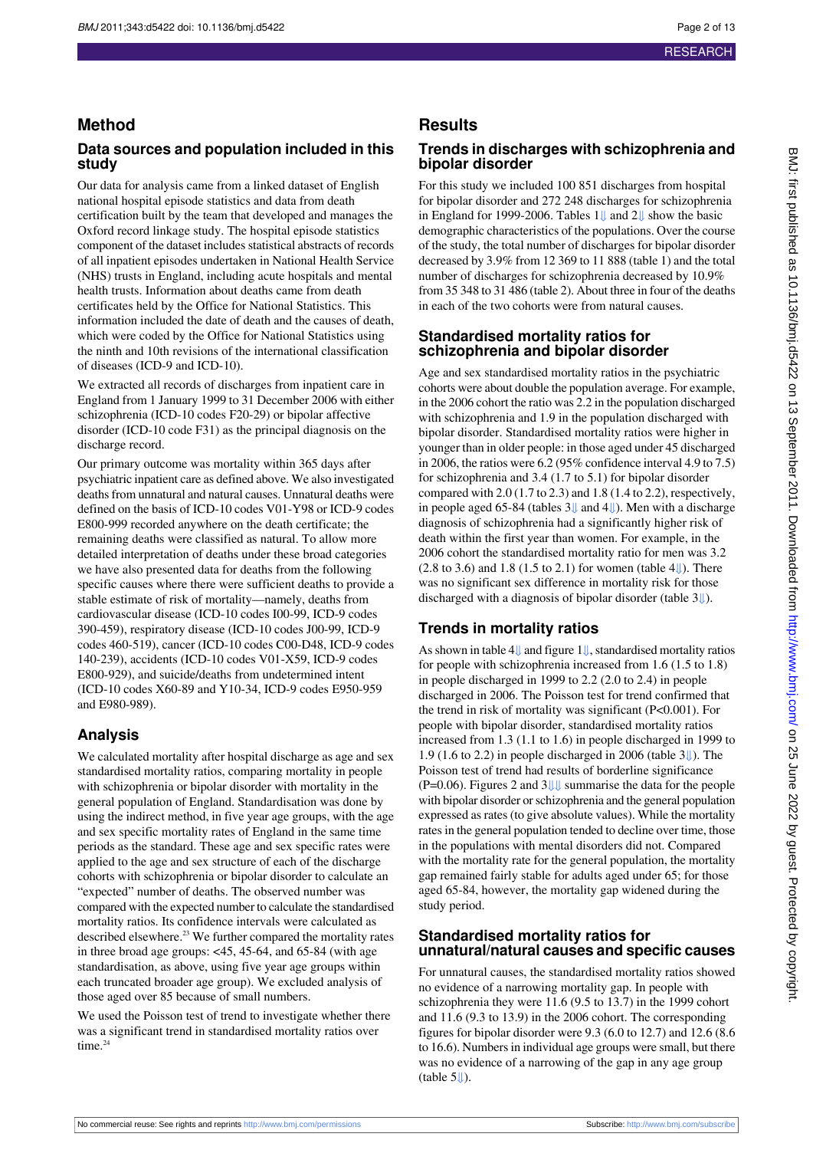#### **Method**

#### **Data sources and population included in this study**

Our data for analysis came from a linked dataset of English national hospital episode statistics and data from death certification built by the team that developed and manages the Oxford record linkage study. The hospital episode statistics component of the dataset includes statistical abstracts of records of all inpatient episodes undertaken in National Health Service (NHS) trusts in England, including acute hospitals and mental health trusts. Information about deaths came from death certificates held by the Office for National Statistics. This information included the date of death and the causes of death, which were coded by the Office for National Statistics using the ninth and 10th revisions of the international classification of diseases (ICD-9 and ICD-10).

We extracted all records of discharges from inpatient care in England from 1 January 1999 to 31 December 2006 with either schizophrenia (ICD-10 codes F20-29) or bipolar affective disorder (ICD-10 code F31) as the principal diagnosis on the discharge record.

Our primary outcome was mortality within 365 days after psychiatric inpatient care as defined above. We also investigated deaths from unnatural and natural causes. Unnatural deaths were defined on the basis of ICD-10 codes V01-Y98 or ICD-9 codes E800-999 recorded anywhere on the death certificate; the remaining deaths were classified as natural. To allow more detailed interpretation of deaths under these broad categories we have also presented data for deaths from the following specific causes where there were sufficient deaths to provide a stable estimate of risk of mortality—namely, deaths from cardiovascular disease (ICD-10 codes I00-99, ICD-9 codes 390-459), respiratory disease (ICD-10 codes J00-99, ICD-9 codes 460-519), cancer (ICD-10 codes C00-D48, ICD-9 codes 140-239), accidents (ICD-10 codes V01-X59, ICD-9 codes E800-929), and suicide/deaths from undetermined intent (ICD-10 codes X60-89 and Y10-34, ICD-9 codes E950-959 and E980-989).

#### **Analysis**

We calculated mortality after hospital discharge as age and sex standardised mortality ratios, comparing mortality in people with schizophrenia or bipolar disorder with mortality in the general population of England. Standardisation was done by using the indirect method, in five year age groups, with the age and sex specific mortality rates of England in the same time periods as the standard. These age and sex specific rates were applied to the age and sex structure of each of the discharge cohorts with schizophrenia or bipolar disorder to calculate an "expected" number of deaths. The observed number was compared with the expected number to calculate the standardised mortality ratios. Its confidence intervals were calculated as described elsewhere.<sup>23</sup> We further compared the mortality rates in three broad age groups: <45, 45-64, and 65-84 (with age standardisation, as above, using five year age groups within each truncated broader age group). We excluded analysis of those aged over 85 because of small numbers.

We used the Poisson test of trend to investigate whether there was a significant trend in standardised mortality ratios over time.<sup>24</sup>

# **Results**

#### **Trends in discharges with schizophrenia and bipolar disorder**

For this study we included 100 851 discharges from hospital for bipolar disorder and 272 248 discharges for schizophrenia in England for 1999-2006. Tables [1⇓](#page-5-0) and [2⇓](#page-6-0) show the basic demographic characteristics of the populations. Over the course of the study, the total number of discharges for bipolar disorder decreased by 3.9% from 12 369 to 11 888 (table 1) and the total number of discharges for schizophrenia decreased by 10.9% from 35 348 to 31 486 (table 2). About three in four of the deaths in each of the two cohorts were from natural causes.

#### **Standardised mortality ratios for schizophrenia and bipolar disorder**

Age and sex standardised mortality ratios in the psychiatric cohorts were about double the population average. For example, in the 2006 cohort the ratio was 2.2 in the population discharged with schizophrenia and 1.9 in the population discharged with bipolar disorder. Standardised mortality ratios were higher in younger than in older people: in those aged under 45 discharged in 2006, the ratios were 6.2 (95% confidence interval 4.9 to 7.5) for schizophrenia and 3.4 (1.7 to 5.1) for bipolar disorder compared with  $2.0$  (1.7 to  $2.3$ ) and  $1.8$  (1.4 to  $2.2$ ), respectively, in people aged 65-84 (tables [3⇓](#page-7-0) and4[⇓](#page-8-0)). Men with a discharge diagnosis of schizophrenia had a significantly higher risk of death within the first year than women. For example, in the 2006 cohort the standardised mortality ratio for men was 3.2  $(2.8 \text{ to } 3.6)$  $(2.8 \text{ to } 3.6)$  $(2.8 \text{ to } 3.6)$  and  $1.8 (1.5 \text{ to } 2.1)$  for women (table 4 $\parallel$ ). There was no significant sex difference in mortality risk for those discharged with a diagnosis of bipolar disorder (table3[⇓\)](#page-7-0).

### **Trends in mortality ratios**

As shown in table [4⇓](#page-8-0) and figure [1⇓,](#page-12-0) standardised mortality ratios for people with schizophrenia increased from 1.6 (1.5 to 1.8) in people discharged in 1999 to 2.2 (2.0 to 2.4) in people discharged in 2006. The Poisson test for trend confirmed that the trend in risk of mortality was significant (P<0.001). For people with bipolar disorder, standardised mortality ratios increased from 1.3 (1.1 to 1.6) in people discharged in 1999 to 1.9 (1.6 to 2.2) in people discharged in 2006 (table [3⇓](#page-7-0)). The Poisson test of trend had results of borderline significance (P=0.06). Figures 2 and [3⇓](#page-12-1)[⇓](#page-12-2) summarise the data for the people with bipolar disorder or schizophrenia and the general population expressed as rates (to give absolute values). While the mortality rates in the general population tended to decline over time, those in the populations with mental disorders did not. Compared with the mortality rate for the general population, the mortality gap remained fairly stable for adults aged under 65; for those aged 65-84, however, the mortality gap widened during the study period.

#### **Standardised mortality ratios for unnatural/natural causes and specific causes**

For unnatural causes, the standardised mortality ratios showed no evidence of a narrowing mortality gap. In people with schizophrenia they were 11.6 (9.5 to 13.7) in the 1999 cohort and 11.6 (9.3 to 13.9) in the 2006 cohort. The corresponding figures for bipolar disorder were 9.3 (6.0 to 12.7) and 12.6 (8.6 to 16.6). Numbers in individual age groups were small, but there was no evidence of a narrowing of the gap in any age group  $(table 5<sub>II</sub>)$  $(table 5<sub>II</sub>)$  $(table 5<sub>II</sub>)$ .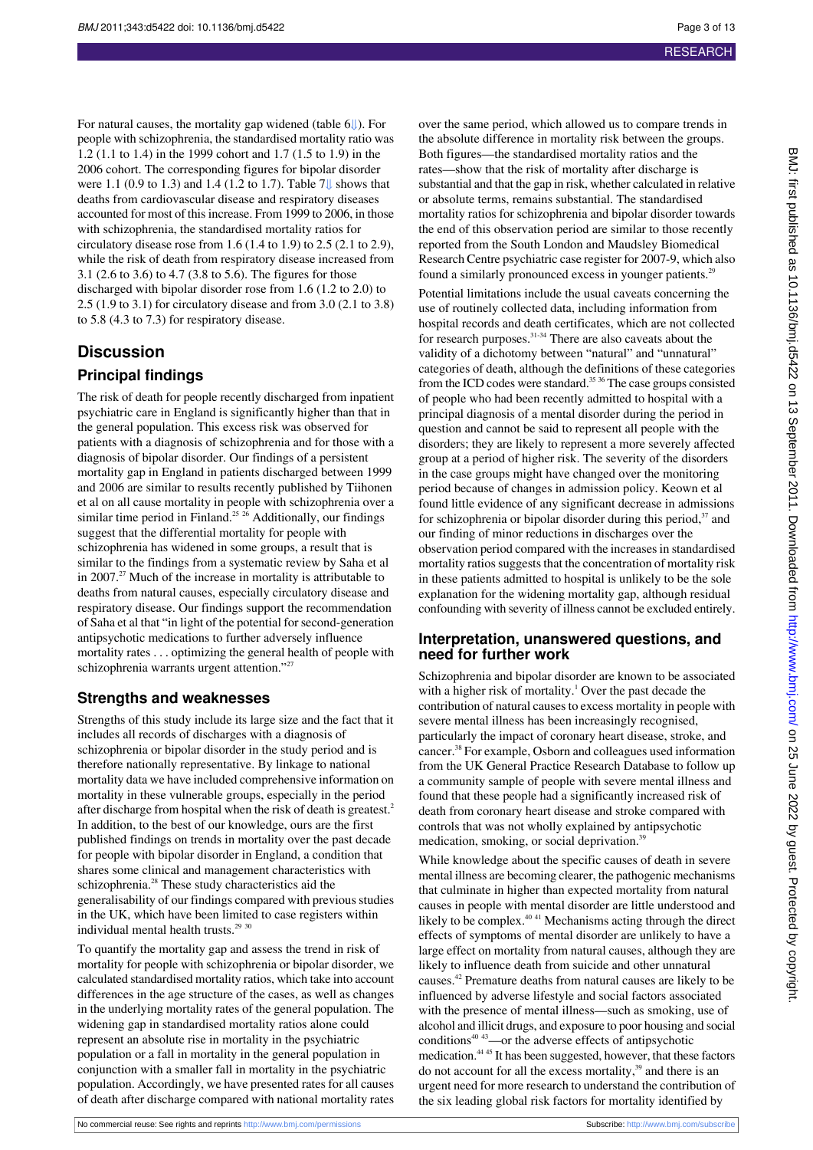For natural causes, the mortality gap widened (table6[⇓\)](#page-10-0). For people with schizophrenia, the standardised mortality ratio was 1.2 (1.1 to 1.4) in the 1999 cohort and 1.7 (1.5 to 1.9) in the 2006 cohort. The corresponding figures for bipolar disorder were 1.1 (0.9 to 1.3) and 1.4 (1.2 to 1.7). Table [7⇓](#page-11-0) shows that deaths from cardiovascular disease and respiratory diseases accounted for most of this increase. From 1999 to 2006, in those with schizophrenia, the standardised mortality ratios for circulatory disease rose from 1.6 (1.4 to 1.9) to 2.5 (2.1 to 2.9), while the risk of death from respiratory disease increased from 3.1 (2.6 to 3.6) to 4.7 (3.8 to 5.6). The figures for those discharged with bipolar disorder rose from 1.6 (1.2 to 2.0) to 2.5 (1.9 to 3.1) for circulatory disease and from 3.0 (2.1 to 3.8) to 5.8 (4.3 to 7.3) for respiratory disease.

## **Discussion**

#### **Principal findings**

The risk of death for people recently discharged from inpatient psychiatric care in England is significantly higher than that in the general population. This excess risk was observed for patients with a diagnosis of schizophrenia and for those with a diagnosis of bipolar disorder. Our findings of a persistent mortality gap in England in patients discharged between 1999 and 2006 are similar to results recently published by Tiihonen et al on all cause mortality in people with schizophrenia over a similar time period in Finland.<sup>25 26</sup> Additionally, our findings suggest that the differential mortality for people with schizophrenia has widened in some groups, a result that is similar to the findings from a systematic review by Saha et al in  $2007<sup>27</sup>$  Much of the increase in mortality is attributable to deaths from natural causes, especially circulatory disease and respiratory disease. Our findings support the recommendation of Saha et al that "in light of the potential for second-generation antipsychotic medications to further adversely influence mortality rates . . . optimizing the general health of people with schizophrenia warrants urgent attention."<sup>27</sup>

#### **Strengths and weaknesses**

Strengths of this study include its large size and the fact that it includes all records of discharges with a diagnosis of schizophrenia or bipolar disorder in the study period and is therefore nationally representative. By linkage to national mortality data we have included comprehensive information on mortality in these vulnerable groups, especially in the period after discharge from hospital when the risk of death is greatest.<sup>2</sup> In addition, to the best of our knowledge, ours are the first published findings on trends in mortality over the past decade for people with bipolar disorder in England, a condition that shares some clinical and management characteristics with schizophrenia.<sup>28</sup> These study characteristics aid the generalisability of our findings compared with previous studies in the UK, which have been limited to case registers within individual mental health trusts.<sup>29</sup> 30

To quantify the mortality gap and assess the trend in risk of mortality for people with schizophrenia or bipolar disorder, we calculated standardised mortality ratios, which take into account differences in the age structure of the cases, as well as changes in the underlying mortality rates of the general population. The widening gap in standardised mortality ratios alone could represent an absolute rise in mortality in the psychiatric population or a fall in mortality in the general population in conjunction with a smaller fall in mortality in the psychiatric population. Accordingly, we have presented rates for all causes of death after discharge compared with national mortality rates

over the same period, which allowed us to compare trends in the absolute difference in mortality risk between the groups. Both figures—the standardised mortality ratios and the rates—show that the risk of mortality after discharge is substantial and that the gap in risk, whether calculated in relative or absolute terms, remains substantial. The standardised mortality ratios for schizophrenia and bipolar disorder towards the end of this observation period are similar to those recently reported from the South London and Maudsley Biomedical Research Centre psychiatric case register for 2007-9, which also found a similarly pronounced excess in younger patients.<sup>29</sup>

Potential limitations include the usual caveats concerning the use of routinely collected data, including information from hospital records and death certificates, which are not collected for research purposes.<sup>31-34</sup> There are also caveats about the validity of a dichotomy between "natural" and "unnatural" categories of death, although the definitions of these categories from the ICD codes were standard.35 36 The case groups consisted of people who had been recently admitted to hospital with a principal diagnosis of a mental disorder during the period in question and cannot be said to represent all people with the disorders; they are likely to represent a more severely affected group at a period of higher risk. The severity of the disorders in the case groups might have changed over the monitoring period because of changes in admission policy. Keown et al found little evidence of any significant decrease in admissions for schizophrenia or bipolar disorder during this period,<sup>37</sup> and our finding of minor reductions in discharges over the observation period compared with the increases in standardised mortality ratios suggests that the concentration of mortality risk in these patients admitted to hospital is unlikely to be the sole explanation for the widening mortality gap, although residual confounding with severity of illness cannot be excluded entirely.

#### **Interpretation, unanswered questions, and need for further work**

Schizophrenia and bipolar disorder are known to be associated with a higher risk of mortality.<sup>1</sup> Over the past decade the contribution of natural causes to excess mortality in people with severe mental illness has been increasingly recognised, particularly the impact of coronary heart disease, stroke, and cancer.<sup>38</sup> For example, Osborn and colleagues used information from the UK General Practice Research Database to follow up a community sample of people with severe mental illness and found that these people had a significantly increased risk of death from coronary heart disease and stroke compared with controls that was not wholly explained by antipsychotic medication, smoking, or social deprivation.<sup>39</sup>

While knowledge about the specific causes of death in severe mental illness are becoming clearer, the pathogenic mechanisms that culminate in higher than expected mortality from natural causes in people with mental disorder are little understood and likely to be complex.<sup>40,41</sup> Mechanisms acting through the direct effects of symptoms of mental disorder are unlikely to have a large effect on mortality from natural causes, although they are likely to influence death from suicide and other unnatural causes.<sup>42</sup> Premature deaths from natural causes are likely to be influenced by adverse lifestyle and social factors associated with the presence of mental illness—such as smoking, use of alcohol and illicit drugs, and exposure to poor housing and social conditions<sup>40 43</sup> —or the adverse effects of antipsychotic medication.44 45 It has been suggested, however, that these factors do not account for all the excess mortality,<sup>39</sup> and there is an urgent need for more research to understand the contribution of the six leading global risk factors for mortality identified by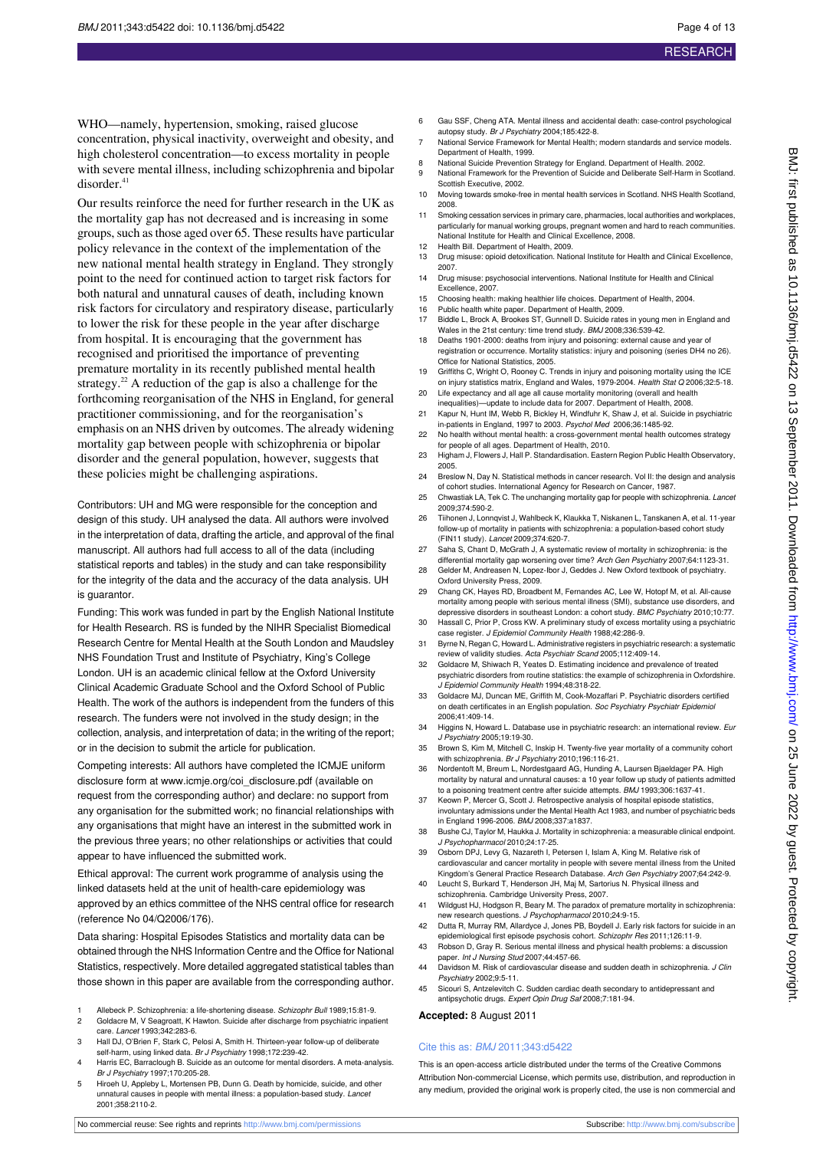WHO—namely, hypertension, smoking, raised glucose concentration, physical inactivity, overweight and obesity, and high cholesterol concentration—to excess mortality in people with severe mental illness, including schizophrenia and bipolar disorder.<sup>41</sup>

Our results reinforce the need for further research in the UK as the mortality gap has not decreased and is increasing in some groups, such as those aged over 65. These results have particular policy relevance in the context of the implementation of the new national mental health strategy in England. They strongly point to the need for continued action to target risk factors for both natural and unnatural causes of death, including known risk factors for circulatory and respiratory disease, particularly to lower the risk for these people in the year after discharge from hospital. It is encouraging that the government has recognised and prioritised the importance of preventing premature mortality in its recently published mental health strategy.<sup>22</sup> A reduction of the gap is also a challenge for the forthcoming reorganisation of the NHS in England, for general practitioner commissioning, and for the reorganisation's emphasis on an NHS driven by outcomes. The already widening mortality gap between people with schizophrenia or bipolar disorder and the general population, however, suggests that these policies might be challenging aspirations.

Contributors: UH and MG were responsible for the conception and design of this study. UH analysed the data. All authors were involved in the interpretation of data, drafting the article, and approval of the final manuscript. All authors had full access to all of the data (including statistical reports and tables) in the study and can take responsibility for the integrity of the data and the accuracy of the data analysis. UH is quarantor.

Funding: This work was funded in part by the English National Institute for Health Research. RS is funded by the NIHR Specialist Biomedical Research Centre for Mental Health at the South London and Maudsley NHS Foundation Trust and Institute of Psychiatry, King's College London. UH is an academic clinical fellow at the Oxford University Clinical Academic Graduate School and the Oxford School of Public Health. The work of the authors is independent from the funders of this research. The funders were not involved in the study design; in the collection, analysis, and interpretation of data; in the writing of the report; or in the decision to submit the article for publication.

Competing interests: All authors have completed the ICMJE uniform disclosure form at [www.icmje.org/coi\\_disclosure.pdf](http://www.icmje.org/coi_disclosure.pdf) (available on request from the corresponding author) and declare: no support from any organisation for the submitted work; no financial relationships with any organisations that might have an interest in the submitted work in the previous three years; no other relationships or activities that could appear to have influenced the submitted work.

Ethical approval: The current work programme of analysis using the linked datasets held at the unit of health-care epidemiology was approved by an ethics committee of the NHS central office for research (reference No 04/Q2006/176).

Data sharing: Hospital Episodes Statistics and mortality data can be obtained through the NHS Information Centre and the Office for National Statistics, respectively. More detailed aggregated statistical tables than those shown in this paper are available from the corresponding author.

- Allebeck P. Schizophrenia: a life-shortening disease. Schizophr Bull 1989;15:81-9. 2 Goldacre M, V Seagroatt, K Hawton. Suicide after discharge from psychiatric inpatient
- care. Lancet 1993;342:283-6.
- 3 Hall DJ, O'Brien F, Stark C, Pelosi A, Smith H. Thirteen-year follow-up of deliberate self-harm, using linked data. Br J Psychiatry 1998;172:239-42. 4 Harris EC, Barraclough B. Suicide as an outcome for mental disorders. A meta-analysis.
- Br J Psychiatry 1997;170:205-28.
- 5 Hiroeh U, Appleby L, Mortensen PB, Dunn G. Death by homicide, suicide, and other unnatural causes in people with mental illness: a population-based study. Lancet 2001;358:2110-2.
- 6 Gau SSF, Cheng ATA. Mental illness and accidental death: case-control psychological autopsy study. Br J Psychiatry 2004;185:422-8.
- 7 National Service Framework for Mental Health; modern standards and service models. Department of Health, 1999.
- 8 National Suicide Prevention Strategy for England. Department of Health. 2002. 9 National Framework for the Prevention of Suicide and Deliberate Self-Harm in Scotland Scottish Executive, 2002.
- 10 Moving towards smoke-free in mental health services in Scotland. NHS Health Scotland, 2008.
- 11 Smoking cessation services in primary care, pharmacies, local authorities and workplaces, particularly for manual working groups, pregnant women and hard to reach communities. National Institute for Health and Clinical Excellence, 2008.
- 12 Health Bill. Department of Health, 2009.
- 13 Drug misuse: opioid detoxification. National Institute for Health and Clinical Excellence, 2007.
- 14 Drug misuse: psychosocial interventions. National Institute for Health and Clinical Excellence, 2007.
- 15 Choosing health: making healthier life choices. Department of Health, 2004.
- 16 Public health white paper. Department of Health, 2009.<br>17 Biddle L. Brock A. Brookes ST. Gunnell D. Suicide rate
- Biddle L, Brock A, Brookes ST, Gunnell D. Suicide rates in young men in England and Wales in the 21st century: time trend study. BMJ 2008;336:539-42.
- 18 Deaths 1901-2000: deaths from injury and poisoning: external cause and year of registration or occurrence. Mortality statistics: injury and poisoning (series DH4 no 26). Office for National Statistics, 2005.
- 19 Griffiths C, Wright O, Rooney C. Trends in injury and poisoning mortality using the ICE on injury statistics matrix, England and Wales, 1979-2004. Health Stat Q 2006;32:5-18.
- 20 Life expectancy and all age all cause mortality monitoring (overall and health inequalities)—update to include data for 2007. Department of Health, 2008.
- 21 Kapur N, Hunt IM, Webb R, Bickley H, Windfuhr K, Shaw J, et al. Suicide in psychiatric in-patients in England, 1997 to 2003. Psychol Med 2006;36:1485-92.
- 22 No health without mental health: a cross-government mental health outcomes strategy for people of all ages. Department of Health, 2010.
- 23 Higham J, Flowers J, Hall P. Standardisation. Eastern Region Public Health Observatory, 2005.
- 24 Breslow N, Day N. Statistical methods in cancer research. Vol II: the design and analysis of cohort studies. International Agency for Research on Cancer, 1987.
- 25 Chwastiak LA, Tek C. The unchanging mortality gap for people with schizophrenia. Lancet 2009;374:590-2. 26 Tiihonen J, Lonnqvist J, Wahlbeck K, Klaukka T, Niskanen L, Tanskanen A, et al. 11-year
- follow-up of mortality in patients with schizophrenia: a population-based cohort study (FIN11 study). Lancet 2009;374:620-7.
- 27 Saha S, Chant D, McGrath J, A systematic review of mortality in schizophrenia: is the differential mortality gap worsening over time? Arch Gen Psychiatry 2007;64:1123-31.
- 28 Gelder M, Andreasen N, Lopez-Ibor J, Geddes J. New Oxford textbook of psychiatry. Oxford University Press, 2009. 29 Chang CK, Hayes RD, Broadbent M, Fernandes AC, Lee W, Hotopf M, et al. All-cause
- mortality among people with serious mental illness (SMI), substance use disorders, and depressive disorders in southeast London: a cohort study. BMC Psychiatry 2010;10:77.
- 30 Hassall C, Prior P, Cross KW. A preliminary study of excess mortality using a psychiatric case register. J Epidemiol Community Health 1988;42:286-9.
- 31 Byrne N, Regan C, Howard L. Administrative registers in psychiatric rese review of validity studies. Acta Psychiatr Scand 2005;112:409-14.
- 32 Goldacre M, Shiwach R, Yeates D. Estimating incidence and prevalence of treated psychiatric disorders from routine statistics: the example of schizophrenia in Oxfordshire. J Epidemiol Community Health 1994;48:318-22.
- 33 Goldacre MJ, Duncan ME, Griffith M, Cook-Mozaffari P. Psychiatric disorders certified on death certificates in an English population. Soc Psychiatry Psychiatr Epidemiol 2006;41:409-14.
- 34 Higgins N, Howard L. Database use in psychiatric research: an international review. Eur J Psychiatry 2005;19:19-30.
- 35 Brown S, Kim M, Mitchell C, Inskip H. Twenty-five year mortality of a community cohort with schizophrenia. Br J Psychiatry 2010;196:116-21.
- 36 Nordentoft M, Breum L, Nordestgaard AG, Hunding A, Laursen Bjaeldager PA. High mortality by natural and unnatural causes: a 10 year follow up study of patients admitted to a poisoning treatment centre after suicide attempts. BMJ 1993;306:1637-41.
- 37 Keown P, Mercer G, Scott J. Retrospective analysis of hospital episode statistics, involuntary admissions under the Mental Health Act 1983, and number of psychiatric beds in England 1996-2006. BMJ 2008;337:a1837.
- Bushe CJ, Taylor M, Haukka J. Mortality in schizophrenia: a measurable clinical endpoint J Psychopharmacol 2010;24:17-25.
- 39 Osborn DPJ, Levy G, Nazareth I, Petersen I, Islam A, King M. Relative risk of cardiovascular and cancer mortality in people with severe mental illness from the United Kingdom's General Practice Research Database. Arch Gen Psychiatry 2007;64:242-9.
- 40 Leucht S, Burkard T, Henderson JH, Maj M, Sartorius N. Physical illness and schizophrenia. Cambridge University Press, 2007.
- 41 Wildgust HJ, Hodgson R, Beary M. The paradox of premature mortality in schizophrenia: new research questions. J Psychopharmacol 2010;24:9-15.
- 42 Dutta R, Murray RM, Allardyce J, Jones PB, Boydell J. Early risk factors for suicide in an epidemiological first episode psychosis cohort. Schizophr Res 2011;126:11-9.
- 43 Robson D, Gray R. Serious mental illness and physical health problems: a discussion paper. Int J Nursing Stud 2007;44:457-66.
- 44 Davidson M. Risk of cardiovascular disease and sudden death in schizophrenia. *J Clin* Psychiatry 2002;9:5-11.
- 45 Sicouri S, Antzelevitch C. Sudden cardiac death secondary to antidepressant and antipsychotic drugs. Expert Opin Drug Saf 2008;7:181-94.

#### **Accepted:** 8 August 2011

#### Cite this as: BMJ 2011;343:d5422

This is an open-access article distributed under the terms of the Creative Commons Attribution Non-commercial License, which permits use, distribution, and reproduction in any medium, provided the original work is properly cited, the use is non commercial and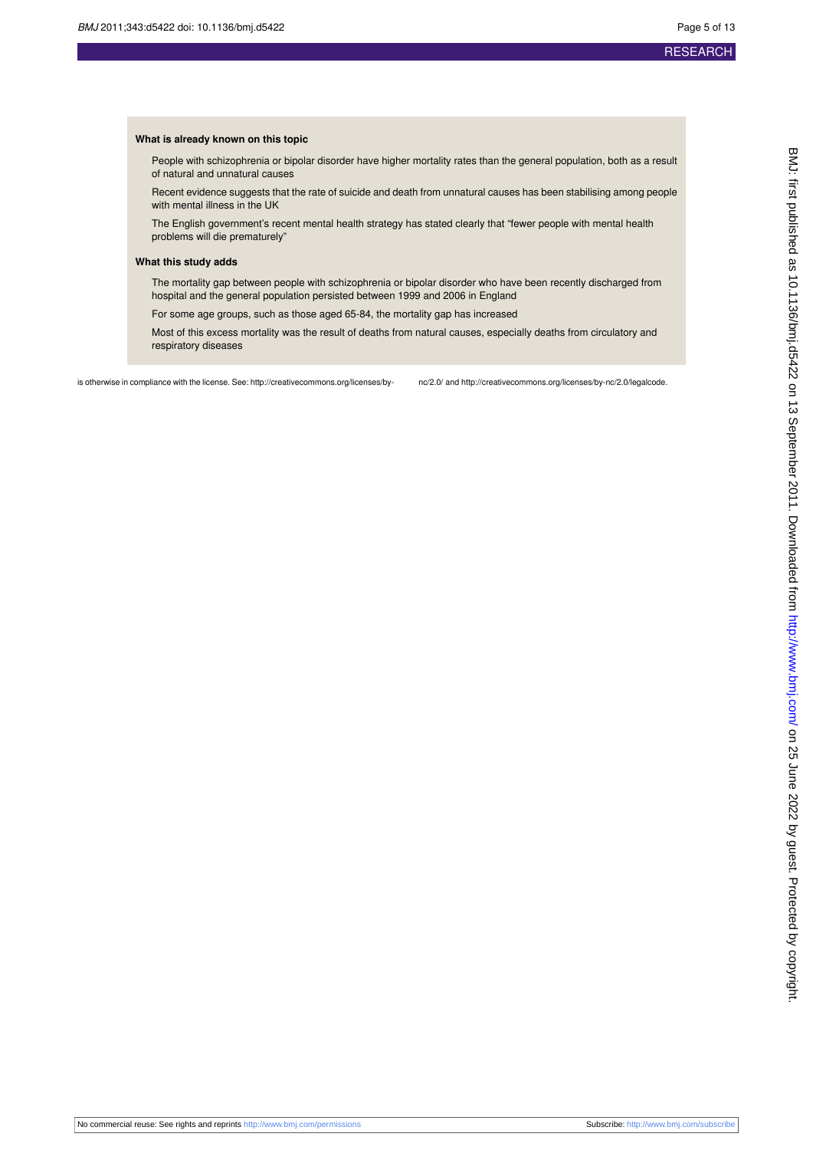#### **What is already known on this topic**

People with schizophrenia or bipolar disorder have higher mortality rates than the general population, both as a result of natural and unnatural causes

Recent evidence suggests that the rate of suicide and death from unnatural causes has been stabilising among people with mental illness in the UK

The English government's recent mental health strategy has stated clearly that "fewer people with mental health problems will die prematurely"

#### **What this study adds**

The mortality gap between people with schizophrenia or bipolar disorder who have been recently discharged from hospital and the general population persisted between 1999 and 2006 in England

For some age groups, such as those aged 65-84, the mortality gap has increased

Most of this excess mortality was the result of deaths from natural causes, especially deaths from circulatory and respiratory diseases

is otherwise in compliance with the license. See: [http://creativecommons.org/licenses/by-](http://creativecommons.org/licenses/by-nc/2.0/) [nc/2.0/](http://creativecommons.org/licenses/by-nc/2.0/) and<http://creativecommons.org/licenses/by-nc/2.0/legalcode>.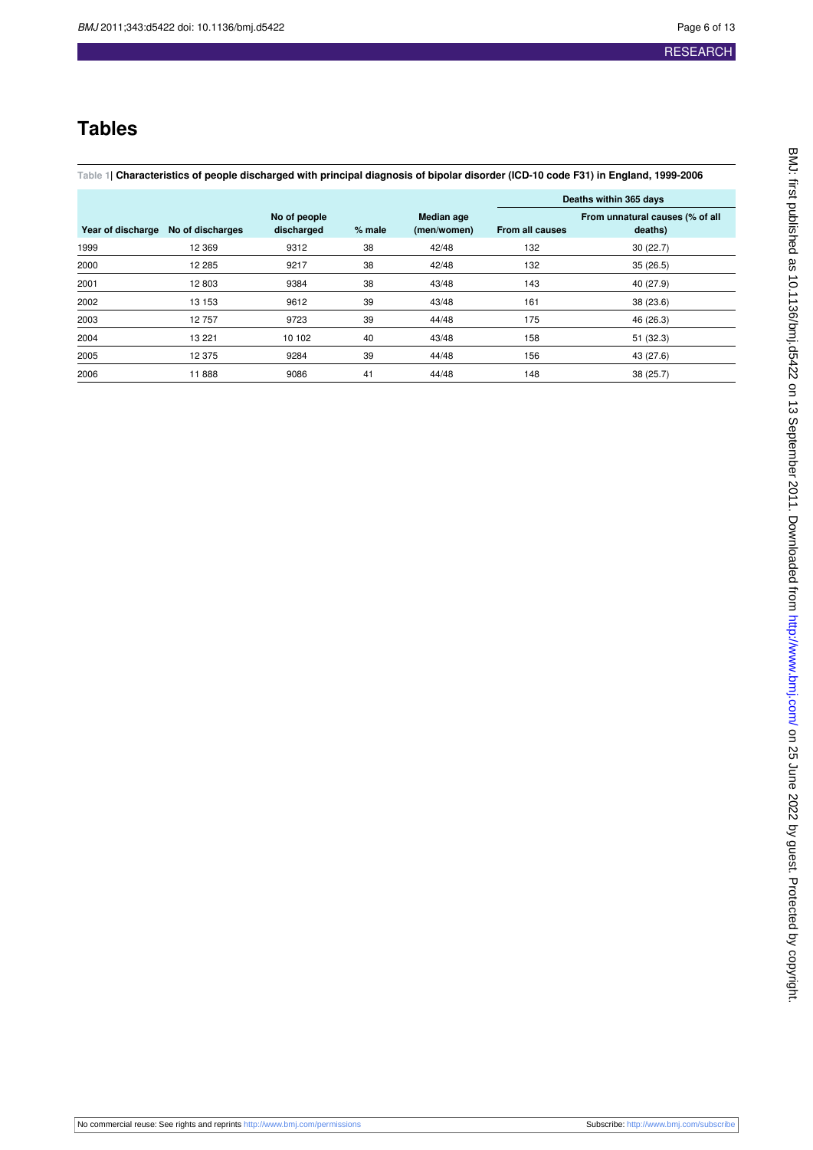# **Tables**

<span id="page-5-0"></span>**Table 1| Characteristics of people discharged with principal diagnosis of bipolar disorder (ICD-10 code F31) in England, 1999-2006**

|                   |                  |                            |          |                           |                 | Deaths within 365 days                     |  |
|-------------------|------------------|----------------------------|----------|---------------------------|-----------------|--------------------------------------------|--|
| Year of discharge | No of discharges | No of people<br>discharged | $%$ male | Median age<br>(men/women) | From all causes | From unnatural causes (% of all<br>deaths) |  |
| 1999              | 12 3 69          | 9312                       | 38       | 42/48                     | 132             | 30(22.7)                                   |  |
| 2000              | 12 285           | 9217                       | 38       | 42/48                     | 132             | 35(26.5)                                   |  |
| 2001              | 12803            | 9384                       | 38       | 43/48                     | 143             | 40 (27.9)                                  |  |
| 2002              | 13 153           | 9612                       | 39       | 43/48                     | 161             | 38 (23.6)                                  |  |
| 2003              | 12757            | 9723                       | 39       | 44/48                     | 175             | 46 (26.3)                                  |  |
| 2004              | 13 2 21          | 10 102                     | 40       | 43/48                     | 158             | 51(32.3)                                   |  |
| 2005              | 12 375           | 9284                       | 39       | 44/48                     | 156             | 43 (27.6)                                  |  |
| 2006              | 11888            | 9086                       | 41       | 44/48                     | 148             | 38 (25.7)                                  |  |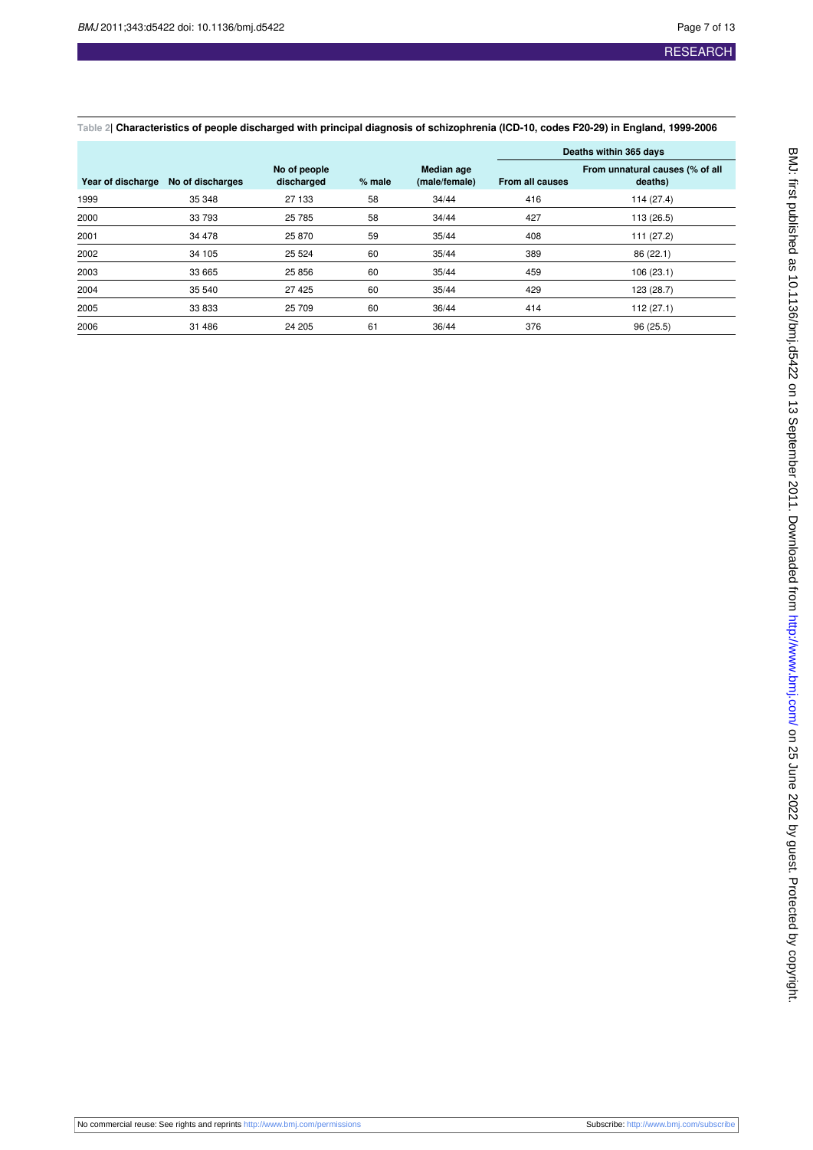## **RESEARCH**

<span id="page-6-0"></span>**Table 2| Characteristics of people discharged with principal diagnosis of schizophrenia (ICD-10, codes F20-29) in England, 1999-2006**

|                   |                  |                            |        |                                    |                        | Deaths within 365 days                     |  |
|-------------------|------------------|----------------------------|--------|------------------------------------|------------------------|--------------------------------------------|--|
| Year of discharge | No of discharges | No of people<br>discharged | % male | <b>Median age</b><br>(male/female) | <b>From all causes</b> | From unnatural causes (% of all<br>deaths) |  |
| 1999              | 35 348           | 27 133                     | 58     | 34/44                              | 416                    | 114 (27.4)                                 |  |
| 2000              | 33 793           | 25 785                     | 58     | 34/44                              | 427                    | 113 (26.5)                                 |  |
| 2001              | 34 478           | 25 870                     | 59     | 35/44                              | 408                    | 111 (27.2)                                 |  |
| 2002              | 34 105           | 25 5 24                    | 60     | 35/44                              | 389                    | 86(22.1)                                   |  |
| 2003              | 33 665           | 25 856                     | 60     | 35/44                              | 459                    | 106(23.1)                                  |  |
| 2004              | 35 540           | 27 4 25                    | 60     | 35/44                              | 429                    | 123 (28.7)                                 |  |
| 2005              | 33 833           | 25 709                     | 60     | 36/44                              | 414                    | 112 (27.1)                                 |  |
| 2006              | 31 4 86          | 24 205                     | 61     | 36/44                              | 376                    | 96 (25.5)                                  |  |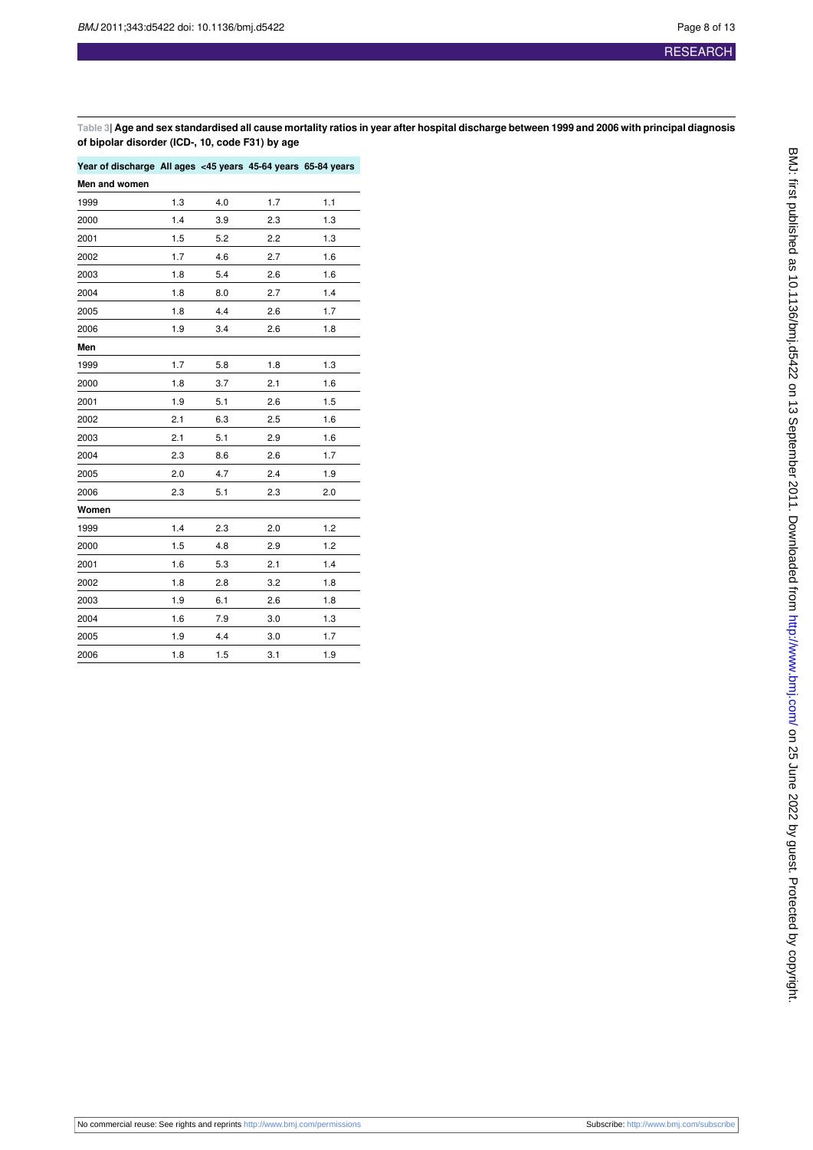<span id="page-7-0"></span>**Table 3| Age and sex standardised all cause mortality ratios in year after hospital discharge between 1999 and 2006 with principal diagnosis of bipolar disorder (ICD-, 10, code F31) by age**

| Year of discharge All ages <45 years 45-64 years 65-84 years |  |  |
|--------------------------------------------------------------|--|--|
| <b>Allace and considered</b>                                 |  |  |

| Men and women |     |     |     |     |
|---------------|-----|-----|-----|-----|
| 1999          | 1.3 | 4.0 | 1.7 | 1.1 |
| 2000          | 1.4 | 3.9 | 2.3 | 1.3 |
| 2001          | 1.5 | 5.2 | 2.2 | 1.3 |
| 2002          | 1.7 | 4.6 | 2.7 | 1.6 |
| 2003          | 1.8 | 5.4 | 2.6 | 1.6 |
| 2004          | 1.8 | 8.0 | 2.7 | 1.4 |
| 2005          | 1.8 | 4.4 | 2.6 | 1.7 |
| 2006          | 1.9 | 3.4 | 2.6 | 1.8 |
| Men           |     |     |     |     |
| 1999          | 1.7 | 5.8 | 1.8 | 1.3 |
| 2000          | 1.8 | 3.7 | 2.1 | 1.6 |
| 2001          | 1.9 | 5.1 | 2.6 | 1.5 |
| 2002          | 2.1 | 6.3 | 2.5 | 1.6 |
| 2003          | 2.1 | 5.1 | 2.9 | 1.6 |
| 2004          | 2.3 | 8.6 | 2.6 | 1.7 |
| 2005          | 2.0 | 4.7 | 2.4 | 1.9 |
| 2006          | 2.3 | 5.1 | 2.3 | 2.0 |
| Women         |     |     |     |     |
| 1999          | 1.4 | 2.3 | 2.0 | 1.2 |
| 2000          | 1.5 | 4.8 | 2.9 | 1.2 |
| 2001          | 1.6 | 5.3 | 2.1 | 1.4 |
| 2002          | 1.8 | 2.8 | 3.2 | 1.8 |
| 2003          | 1.9 | 6.1 | 2.6 | 1.8 |
| 2004          | 1.6 | 7.9 | 3.0 | 1.3 |
| 2005          | 1.9 | 4.4 | 3.0 | 1.7 |
| 2006          | 1.8 | 1.5 | 3.1 | 1.9 |
|               |     |     |     |     |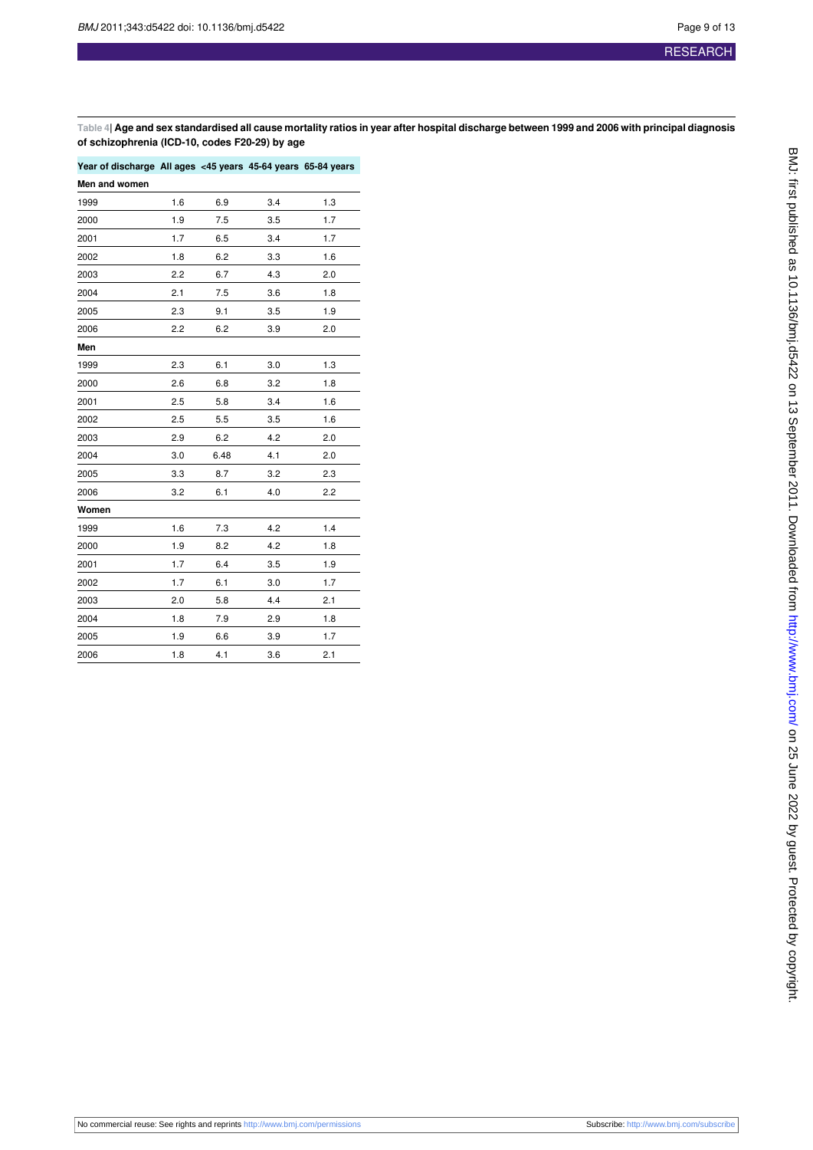RESEARCH

<span id="page-8-0"></span>**Table 4| Age and sex standardised all cause mortality ratios in year after hospital discharge between 1999 and 2006 with principal diagnosis of schizophrenia (ICD-10, codes F20-29) by age**

|      |  | Year of discharge All ages <45 years 45-64 years 65-84 years |  |
|------|--|--------------------------------------------------------------|--|
| $ -$ |  |                                                              |  |

| Men and women |     |      |     |     |
|---------------|-----|------|-----|-----|
| 1999          | 1.6 | 6.9  | 3.4 | 1.3 |
| 2000          | 1.9 | 7.5  | 3.5 | 1.7 |
| 2001          | 1.7 | 6.5  | 3.4 | 1.7 |
| 2002          | 1.8 | 6.2  | 3.3 | 1.6 |
| 2003          | 2.2 | 6.7  | 4.3 | 2.0 |
| 2004          | 2.1 | 7.5  | 3.6 | 1.8 |
| 2005          | 2.3 | 9.1  | 3.5 | 1.9 |
| 2006          | 2.2 | 6.2  | 3.9 | 2.0 |
| Men           |     |      |     |     |
| 1999          | 2.3 | 6.1  | 3.0 | 1.3 |
| 2000          | 2.6 | 6.8  | 3.2 | 1.8 |
| 2001          | 2.5 | 5.8  | 3.4 | 1.6 |
| 2002          | 2.5 | 5.5  | 3.5 | 1.6 |
| 2003          | 2.9 | 6.2  | 4.2 | 2.0 |
| 2004          | 3.0 | 6.48 | 4.1 | 2.0 |
| 2005          | 3.3 | 8.7  | 3.2 | 2.3 |
| 2006          | 3.2 | 6.1  | 4.0 | 2.2 |
| Women         |     |      |     |     |
| 1999          | 1.6 | 7.3  | 4.2 | 1.4 |
| 2000          | 1.9 | 8.2  | 4.2 | 1.8 |
| 2001          | 1.7 | 6.4  | 3.5 | 1.9 |
| 2002          | 1.7 | 6.1  | 3.0 | 1.7 |
| 2003          | 2.0 | 5.8  | 4.4 | 2.1 |
| 2004          | 1.8 | 7.9  | 2.9 | 1.8 |
| 2005          | 1.9 | 6.6  | 3.9 | 1.7 |
| 2006          | 1.8 | 4.1  | 3.6 | 2.1 |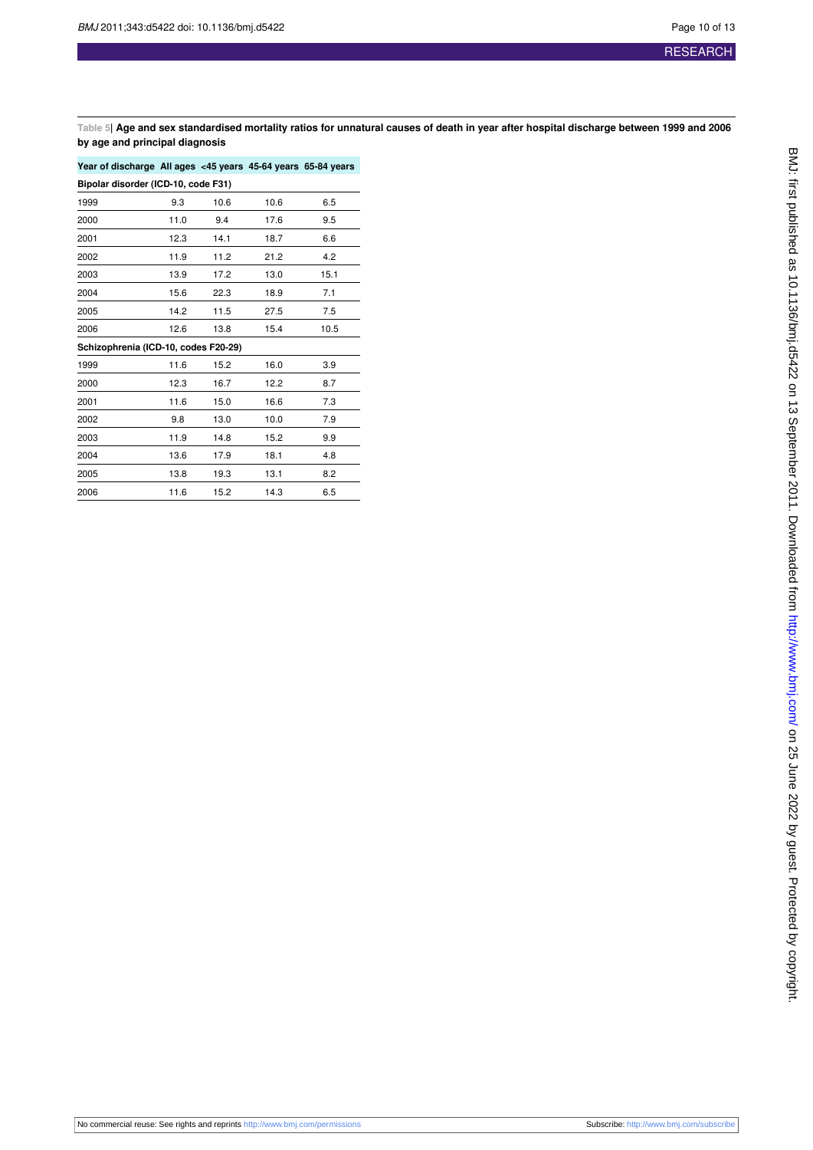<span id="page-9-0"></span>**Table 5| Age and sex standardised mortality ratios for unnatural causes of death in year after hospital discharge between 1999 and 2006 by age and principal diagnosis**

### **Year of discharge All ages <45 years 45-64 years 65-84 years**

| Bipolar disorder (ICD-10, code F31)  |      |      |      |      |  |  |
|--------------------------------------|------|------|------|------|--|--|
| 1999                                 | 9.3  | 10.6 | 10.6 | 6.5  |  |  |
| 2000                                 | 11.0 | 9.4  | 17.6 | 9.5  |  |  |
| 2001                                 | 12.3 | 14.1 | 18.7 | 6.6  |  |  |
| 2002                                 | 11.9 | 11.2 | 21.2 | 4.2  |  |  |
| 2003                                 | 13.9 | 17.2 | 13.0 | 15.1 |  |  |
| 2004                                 | 15.6 | 22.3 | 18.9 | 7.1  |  |  |
| 2005                                 | 14.2 | 11.5 | 27.5 | 7.5  |  |  |
| 2006                                 | 12.6 | 13.8 | 15.4 | 10.5 |  |  |
| Schizophrenia (ICD-10, codes F20-29) |      |      |      |      |  |  |
| 1999                                 | 11.6 | 15.2 | 16.0 | 3.9  |  |  |
| 2000                                 | 12.3 | 16.7 | 12.2 | 8.7  |  |  |
| 2001                                 | 11.6 | 15.0 | 16.6 | 7.3  |  |  |
| 2002                                 | 9.8  | 13.0 | 10.0 | 7.9  |  |  |
| 2003                                 | 11.9 | 14.8 | 15.2 | 9.9  |  |  |
| 2004                                 | 13.6 | 17.9 | 18.1 | 4.8  |  |  |
| 2005                                 | 13.8 | 19.3 | 13.1 | 8.2  |  |  |
| 2006                                 | 11.6 | 15.2 | 14.3 | 6.5  |  |  |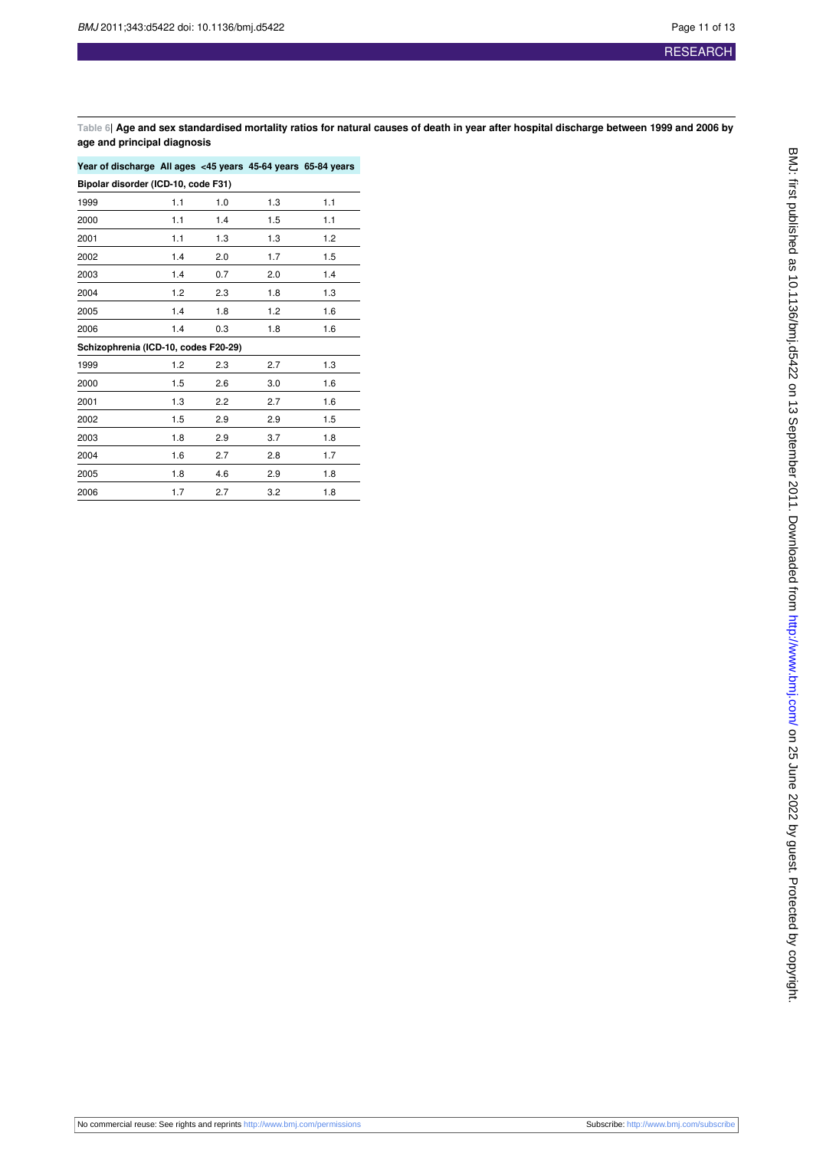<span id="page-10-0"></span>**Table 6| Age and sex standardised mortality ratios for natural causes of death in year after hospital discharge between 1999 and 2006 by age and principal diagnosis**

| Year of discharge All ages <45 years 45-64 years 65-84 years |  |  |
|--------------------------------------------------------------|--|--|
|                                                              |  |  |

| Bipolar disorder (ICD-10, code F31)  |     |     |     |     |  |
|--------------------------------------|-----|-----|-----|-----|--|
| 1999                                 | 1.1 | 1.0 | 1.3 | 1.1 |  |
| 2000                                 | 1.1 | 1.4 | 1.5 | 1.1 |  |
| 2001                                 | 1.1 | 1.3 | 1.3 | 1.2 |  |
| 2002                                 | 1.4 | 2.0 | 1.7 | 1.5 |  |
| 2003                                 | 1.4 | 0.7 | 2.0 | 1.4 |  |
| 2004                                 | 1.2 | 2.3 | 1.8 | 1.3 |  |
| 2005                                 | 1.4 | 1.8 | 1.2 | 1.6 |  |
| 2006                                 | 1.4 | 0.3 | 1.8 | 1.6 |  |
| Schizophrenia (ICD-10, codes F20-29) |     |     |     |     |  |
| 1999                                 | 1.2 | 2.3 | 2.7 | 1.3 |  |
| 2000                                 | 1.5 | 2.6 | 3.0 | 1.6 |  |
| 2001                                 | 1.3 | 2.2 | 2.7 | 1.6 |  |
| 2002                                 | 1.5 | 2.9 | 2.9 | 1.5 |  |
| 2003                                 | 1.8 | 2.9 | 3.7 | 1.8 |  |
| 2004                                 | 1.6 | 2.7 | 2.8 | 1.7 |  |
| 2005                                 | 1.8 | 4.6 | 2.9 | 1.8 |  |
| 2006                                 | 1.7 | 2.7 | 3.2 | 1.8 |  |
|                                      |     |     |     |     |  |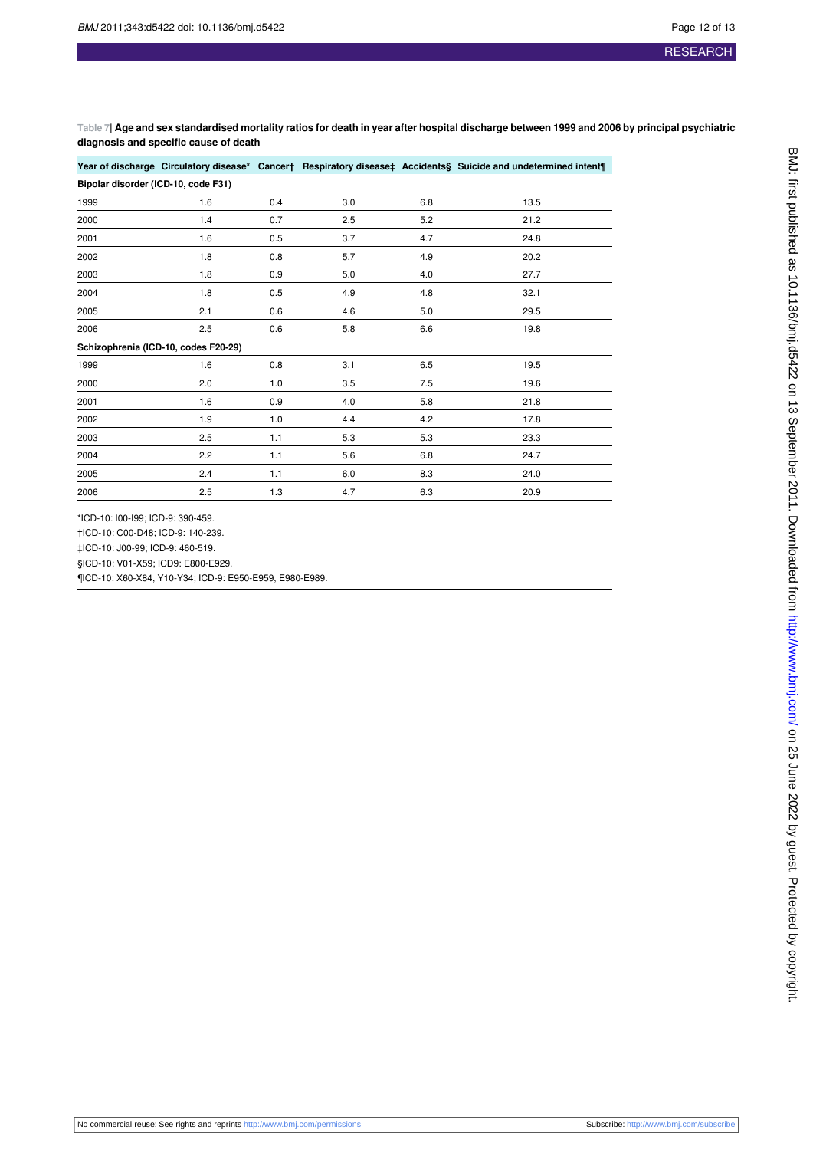<span id="page-11-0"></span>**Table 7| Age and sex standardised mortality ratios for death in year after hospital discharge between 1999 and 2006 by principal psychiatric diagnosis and specific cause of death**

|                                     |                                      |     |     |     | Year of discharge Circulatory disease* Cancer+ Respiratory disease‡ Accidents§ Suicide and undetermined intent¶ |
|-------------------------------------|--------------------------------------|-----|-----|-----|-----------------------------------------------------------------------------------------------------------------|
| Bipolar disorder (ICD-10, code F31) |                                      |     |     |     |                                                                                                                 |
| 1999                                | 1.6                                  | 0.4 | 3.0 | 6.8 | 13.5                                                                                                            |
| 2000                                | 1.4                                  | 0.7 | 2.5 | 5.2 | 21.2                                                                                                            |
| 2001                                | 1.6                                  | 0.5 | 3.7 | 4.7 | 24.8                                                                                                            |
| 2002                                | 1.8                                  | 0.8 | 5.7 | 4.9 | 20.2                                                                                                            |
| 2003                                | 1.8                                  | 0.9 | 5.0 | 4.0 | 27.7                                                                                                            |
| 2004                                | 1.8                                  | 0.5 | 4.9 | 4.8 | 32.1                                                                                                            |
| 2005                                | 2.1                                  | 0.6 | 4.6 | 5.0 | 29.5                                                                                                            |
| 2006                                | 2.5                                  | 0.6 | 5.8 | 6.6 | 19.8                                                                                                            |
|                                     | Schizophrenia (ICD-10, codes F20-29) |     |     |     |                                                                                                                 |
| 1999                                | 1.6                                  | 0.8 | 3.1 | 6.5 | 19.5                                                                                                            |
| 2000                                | 2.0                                  | 1.0 | 3.5 | 7.5 | 19.6                                                                                                            |
| 2001                                | 1.6                                  | 0.9 | 4.0 | 5.8 | 21.8                                                                                                            |
| 2002                                | 1.9                                  | 1.0 | 4.4 | 4.2 | 17.8                                                                                                            |
| 2003                                | 2.5                                  | 1.1 | 5.3 | 5.3 | 23.3                                                                                                            |
| 2004                                | 2.2                                  | 1.1 | 5.6 | 6.8 | 24.7                                                                                                            |
| 2005                                | 2.4                                  | 1.1 | 6.0 | 8.3 | 24.0                                                                                                            |
| 2006                                | 2.5                                  | 1.3 | 4.7 | 6.3 | 20.9                                                                                                            |

\*ICD-10: I00-I99; ICD-9: 390-459.

†ICD-10: C00-D48; ICD-9: 140-239.

‡ICD-10: J00-99; ICD-9: 460-519.

§ICD-10: V01-X59; ICD9: E800-E929.

¶ICD-10: X60-X84, Y10-Y34; ICD-9: E950-E959, E980-E989.